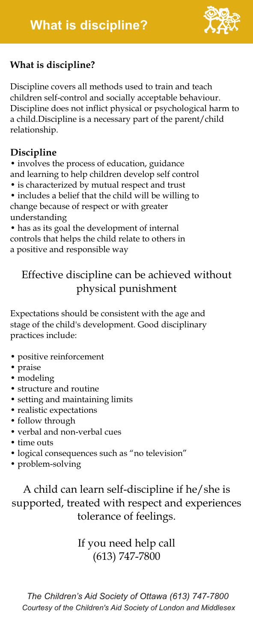

# **What is discipline?**

Discipline covers all methods used to train and teach children self-control and socially acceptable behaviour. Discipline does not inflict physical or psychological harm to a child.Discipline is a necessary part of the parent/child relationship.

## **Discipline**

• involves the process of education, guidance and learning to help children develop self control

- is characterized by mutual respect and trust
- includes a belief that the child will be willing to change because of respect or with greater understanding

• has as its goal the development of internal controls that helps the child relate to others in a positive and responsible way

# Effective discipline can be achieved without physical punishment

Expectations should be consistent with the age and stage of the child's development. Good disciplinary practices include:

- positive reinforcement
- praise
- modeling
- structure and routine
- setting and maintaining limits
- realistic expectations
- follow through
- verbal and non-verbal cues
- time outs
- logical consequences such as "no television"
- problem-solving

A child can learn self-discipline if he/she is supported, treated with respect and experiences tolerance of feelings.

# If you need help call (613) 747-7800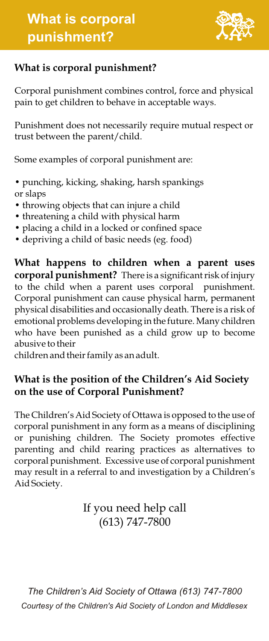

#### **What is corporal punishment?**

Corporal punishment combines control, force and physical pain to get children to behave in acceptable ways.

Punishment does not necessarily require mutual respect or trust between the parent/child.

Some examples of corporal punishment are:

- punching, kicking, shaking, harsh spankings or slaps
- throwing objects that can injure a child
- threatening a child with physical harm
- placing a child in a locked or confined space
- depriving a child of basic needs (eg. food)

**What happens to children when a parent uses corporal punishment?** There is a significant risk of injury to the child when a parent uses corporal punishment. Corporal punishment can cause physical harm, permanent physical disabilities and occasionally death. There is a risk of emotional problems developing in the future. Many children who have been punished as a child grow up to become abusive to their

children and their family as an adult.

#### **What is the position of the Children's Aid Society on the use of Corporal Punishment?**

The Children's Aid Society of Ottawa is opposed to the use of corporal punishment in any form as a means of disciplining or punishing children. The Society promotes effective parenting and child rearing practices as alternatives to corporal punishment. Excessive use of corporal punishment may result in a referral to and investigation by a Children's Aid Society.

# If you need help call (613) 747-7800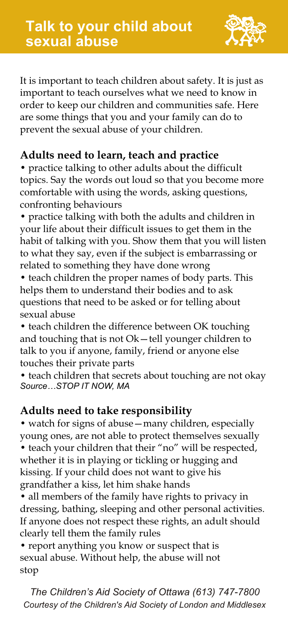

It is important to teach children about safety. It is just as important to teach ourselves what we need to know in order to keep our children and communities safe. Here are some things that you and your family can do to prevent the sexual abuse of your children.

#### **Adults need to learn, teach and practice**

• practice talking to other adults about the difficult topics. Say the words out loud so that you become more comfortable with using the words, asking questions, confronting behaviours

• practice talking with both the adults and children in your life about their difficult issues to get them in the habit of talking with you. Show them that you will listen to what they say, even if the subject is embarrassing or related to something they have done wrong

• teach children the proper names of body parts. This helps them to understand their bodies and to ask questions that need to be asked or for telling about sexual abuse

• teach children the difference between OK touching and touching that is not Ok—tell younger children to talk to you if anyone, family, friend or anyone else touches their private parts

• teach children that secrets about touching are not okay *Source…STOP IT NOW, MA*

#### **Adults need to take responsibility**

• watch for signs of abuse—many children, especially young ones, are not able to protect themselves sexually • teach your children that their "no" will be respected, whether it is in playing or tickling or hugging and kissing. If your child does not want to give his grandfather a kiss, let him shake hands

• all members of the family have rights to privacy in dressing, bathing, sleeping and other personal activities. If anyone does not respect these rights, an adult should clearly tell them the family rules

• report anything you know or suspect that is sexual abuse. Without help, the abuse will not stop

*The Children's Aid Society of Ottawa (613) 747-7800 Courtesy of the Children's Aid Society of London and Middlesex*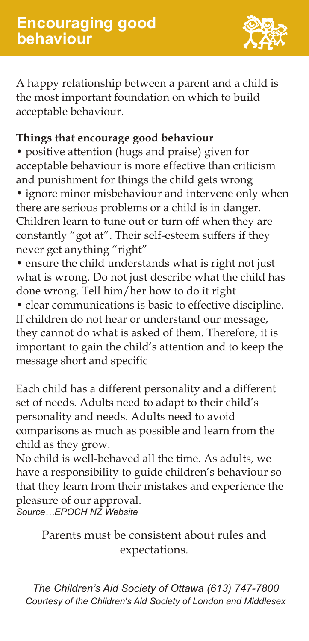

A happy relationship between a parent and a child is the most important foundation on which to build acceptable behaviour.

#### **Things that encourage good behaviour**

• positive attention (hugs and praise) given for acceptable behaviour is more effective than criticism and punishment for things the child gets wrong

• ignore minor misbehaviour and intervene only when there are serious problems or a child is in danger. Children learn to tune out or turn off when they are constantly "got at". Their self-esteem suffers if they never get anything "right"

• ensure the child understands what is right not just what is wrong. Do not just describe what the child has done wrong. Tell him/her how to do it right

• clear communications is basic to effective discipline. If children do not hear or understand our message, they cannot do what is asked of them. Therefore, it is important to gain the child's attention and to keep the message short and specific

Each child has a different personality and a different set of needs. Adults need to adapt to their child's personality and needs. Adults need to avoid comparisons as much as possible and learn from the child as they grow.

No child is well-behaved all the time. As adults, we have a responsibility to guide children's behaviour so that they learn from their mistakes and experience the pleasure of our approval. *Source…EPOCH NZ Website*

Parents must be consistent about rules and expectations.

*The Children's Aid Society of Ottawa (613) 747-7800 Courtesy of the Children's Aid Society of London and Middlesex*